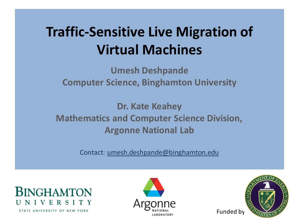### **Traffic-Sensitive Live Migration of Virtual Machines**

**Umesh Deshpande Computer Science, Binghamton University**

**Dr. Kate Keahey Mathematics and Computer Science Division, Argonne National Lab**

Contact: umesh.deshpande@binghamton.edu



STATE UNIVERSITY OF NEW YORK



Funded by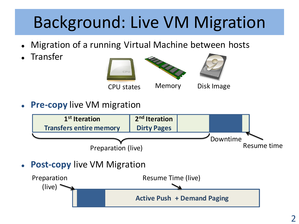# Background: Live VM Migration

- Migration of a running Virtual Machine between hosts
- Transfer









**Pre-copy** live VM migration



**Post-copy** live VM Migration

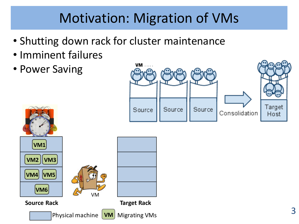### Motivation: Migration of VMs

- Shutting down rack for cluster maintenance
- Imminent failures
- Power Saving

**VM4 VM5**

**VM6**

**Source Rack**

**VM2 VM3**

**VM1**

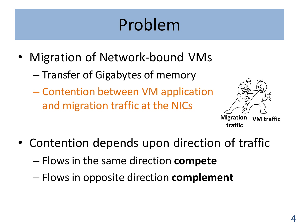# Problem

- Migration of Network-bound VMs
	- Transfer of Gigabytes of memory
	- Contention between VM application and migration traffic at the NICs



**Migration VM traffic traffic**

- Contention depends upon direction of traffic
	- Flows in the same direction **compete**
	- Flows in opposite direction **complement**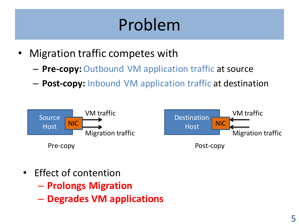# Problem

- Migration traffic competes with
	- **Pre-copy:** Outbound VM application traffic at source
	- **Post-copy:** Inbound VM application traffic at destination



- Effect of contention
	- **Prolongs Migration**
	- **Degrades VM applications**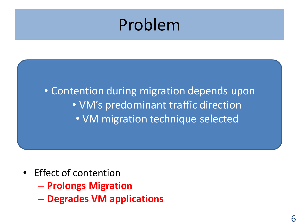### Problem

• Contention during migration depends upon • VM's predominant traffic direction • VM migration technique selected

- Effect of contention
	- **Prolongs Migration**
	- **Degrades VM applications**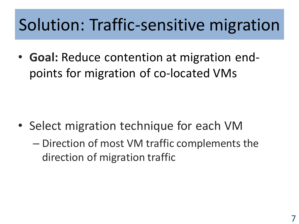## Solution: Traffic-sensitive migration

• **Goal:** Reduce contention at migration endpoints for migration of co-located VMs

- Select migration technique for each VM
	- Direction of most VM traffic complements the direction of migration traffic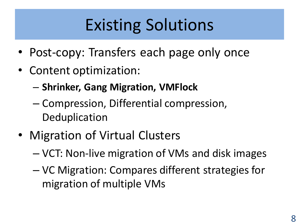# Existing Solutions

- Post-copy: Transfers each page only once
- Content optimization:
	- **Shrinker, Gang Migration, VMFlock**
	- Compression, Differential compression, **Deduplication**
- Migration of Virtual Clusters
	- VCT: Non-live migration of VMs and disk images
	- VC Migration: Compares different strategies for migration of multiple VMs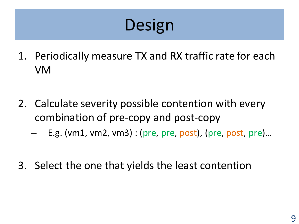# Design

- 1. Periodically measure TX and RX traffic rate for each VM
- 2. Calculate severity possible contention with every combination of pre-copy and post-copy
	- E.g. (vm1, vm2, vm3) : (pre, pre, post), (pre, post, pre)...
- 3. Select the one that yields the least contention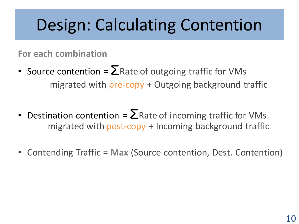### Design: Calculating Contention

**For each combination**

- Source contention  $= \sum R$ ate of outgoing traffic for VMs migrated with pre-copy + Outgoing background traffic
- Destination contention =  $\sum$ Rate of incoming traffic for VMs migrated with post-copy + Incoming background traffic
- Contending Traffic = **Max** (Source contention, Dest. Contention)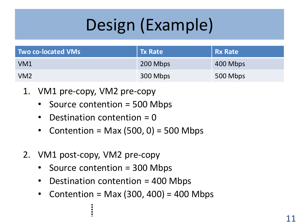# Design (Example)

| <b>Two co-located VMs</b> | Tx Rate  | <b>Rx Rate</b> |
|---------------------------|----------|----------------|
| VM <sub>1</sub>           | 200 Mbps | 400 Mbps       |
| VM2                       | 300 Mbps | 500 Mbps       |

- 1. VM1 pre-copy, VM2 pre-copy
	- Source contention = 500 Mbps
	- Destination contention  $= 0$
	- Contention = Max  $(500, 0)$  = 500 Mbps
- 2. VM1 post-copy, VM2 pre-copy
	- Source contention = 300 Mbps
	- Destination contention = 400 Mbps
	- Contention = Max  $(300, 400)$  = 400 Mbps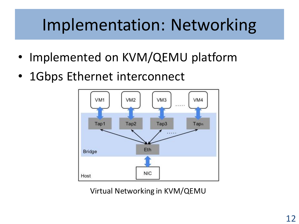### Implementation: Networking

- Implemented on KVM/QEMU platform
- 1Gbps Ethernet interconnect



Virtual Networking in KVM/QEMU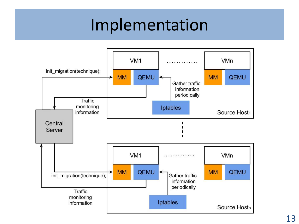### Implementation

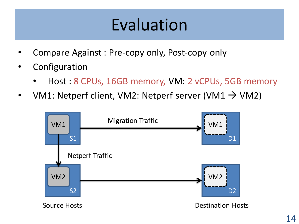- Compare Against : Pre-copy only, Post-copy only
- **Configuration** 
	- Host : 8 CPUs, 16GB memory, VM: 2 vCPUs, 5GB memory
- VM1: Netperf client, VM2: Netperf server (VM1  $\rightarrow$  VM2)

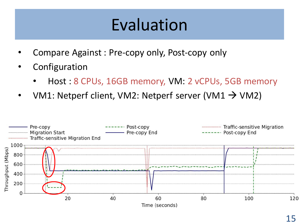- Compare Against : Pre-copy only, Post-copy only
- **Configuration** 
	- Host : 8 CPUs, 16GB memory, VM: 2 vCPUs, 5GB memory
- VM1: Netperf client, VM2: Netperf server (VM1  $\rightarrow$  VM2)

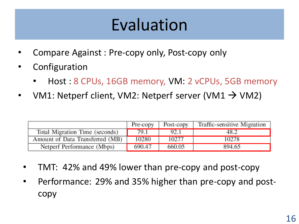- Compare Against : Pre-copy only, Post-copy only
- **Configuration** 
	- Host : 8 CPUs, 16GB memory, VM: 2 vCPUs, 5GB memory
- VM1: Netperf client, VM2: Netperf server (VM1  $\rightarrow$  VM2)

|                                 | Pre-copy | Post-copy | Traffic-sensitive Migration |
|---------------------------------|----------|-----------|-----------------------------|
| Total Migration Time (seconds)  | 79.1     | 92.1      |                             |
| Amount of Data Transferred (MB) | 10280    | 10277     | 10278                       |
| Netperf Performance (Mbps)      | 690.47   | 660.05    | 894.65                      |

- TMT: 42% and 49% lower than pre-copy and post-copy
- Performance: 29% and 35% higher than pre-copy and postcopy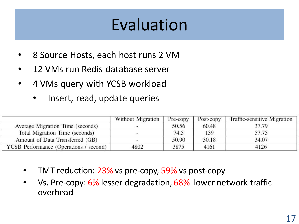- 8 Source Hosts, each host runs 2 VM
- 12 VMs run Redis database server
- 4 VMs query with YCSB workload
	- Insert, read, update queries

|                                        | Without Migration        | Pre-copy | Post-copy | Traffic-sensitive Migration |
|----------------------------------------|--------------------------|----------|-----------|-----------------------------|
| Average Migration Time (seconds)       | -                        | 50.56    | 60.48     | 37.79                       |
| Total Migration Time (seconds)         |                          | 74.5     | 139       | 57.75                       |
| Amount of Data Transferred (GB)        | $\overline{\phantom{a}}$ | 50.90    | 30.18     | 34.07                       |
| YCSB Performance (Operations / second) | 4802                     | 3875     | 4161      | 4126                        |

- TMT reduction: 23% vs pre-copy, 59% vs post-copy
- Vs. Pre-copy: 6% lesser degradation, 68% lower network traffic overhead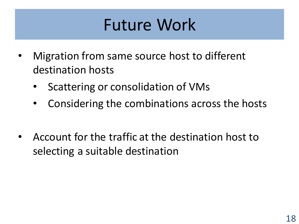### Future Work

- Migration from same source host to different destination hosts
	- Scattering or consolidation of VMs
	- Considering the combinations across the hosts
- Account for the traffic at the destination host to selecting a suitable destination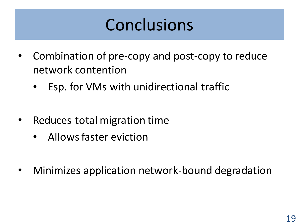## Conclusions

- Combination of pre-copy and post-copy to reduce network contention
	- Esp. for VMs with unidirectional traffic
- Reduces total migration time
	- Allows faster eviction
- Minimizes application network-bound degradation